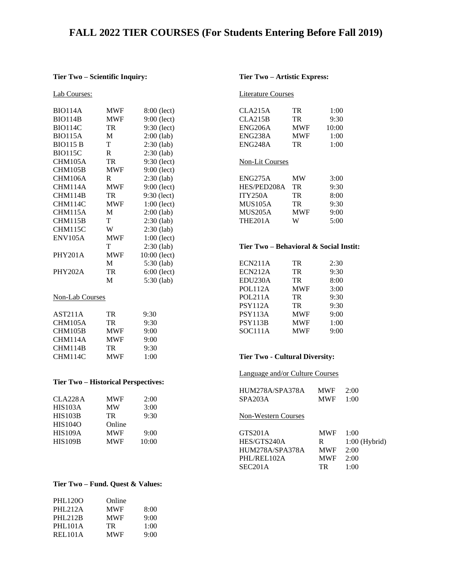# **FALL 2022 TIER COURSES (For Students Entering Before Fall 2019)**

#### **Tier Two – Scientific Inquiry:**

| <u>Lab Courses:</u> |            |               |
|---------------------|------------|---------------|
|                     |            |               |
| <b>BIO114A</b>      | <b>MWF</b> | $8:00$ (lect) |
| <b>BIO114B</b>      | <b>MWF</b> | $9:00$ (lect) |
| <b>BIO114C</b>      | TR         | 9:30 (lect)   |
| <b>BIO115A</b>      | M          | $2:00$ (lab)  |
| <b>BIO115 B</b>     | T          | $2:30$ (lab)  |
| <b>BIO115C</b>      | R.         | $2:30$ (lab)  |
| CHM105A             | TR         | 9:30 (lect)   |
| CHM105B             | <b>MWF</b> | 9:00 (lect)   |
| CHM106A             | R          | 2:30 (lab)    |
| CHM114A             | <b>MWF</b> | 9:00 (lect)   |
| CHM114B             | TR         | $9:30$ (lect) |
| CHM114C             | <b>MWF</b> | $1:00$ (lect) |
| CHM115A             | M          | $2:00$ (lab)  |
| CHM115B             | T          | $2:30$ (lab)  |
| CHM115C             | W          | $2:30$ (lab)  |
| <b>ENV105A</b>      | <b>MWF</b> | $1:00$ (lect) |
|                     | T          | $2:30$ (lab)  |
| <b>PHY201A</b>      | MWF        | 10:00 (lect)  |
|                     | М          | $5:30$ (lab)  |
| PHY202A             | TR         | $6:00$ (lect) |
|                     | M          | 5:30 (lab)    |

# Non-Lab Courses

| AST <sub>211</sub> A | TR         | 9:30 |
|----------------------|------------|------|
| CHM105A              | TR.        | 9:30 |
| CHM105B              | <b>MWF</b> | 9:00 |
| CHM114A              | <b>MWF</b> | 9:00 |
| CHM114B              | TR.        | 9:30 |
| CHM114C              | <b>MWF</b> | 1:00 |
|                      |            |      |

# **Tier Two – Historical Perspectives:**

| CLA228A        | <b>MWF</b> | 2:00  |
|----------------|------------|-------|
| HIS103A        | <b>MW</b>  | 3:00  |
| <b>HIS103B</b> | TR         | 9:30  |
| <b>HIS104O</b> | Online     |       |
| <b>HIS109A</b> | <b>MWF</b> | 9:00  |
| <b>HIS109B</b> | <b>MWF</b> | 10:00 |
|                |            |       |

# **Tier Two – Fund. Quest & Values:**

| Online             |
|--------------------|
| <b>MWF</b><br>8:00 |
| <b>MWF</b><br>9:00 |
| 1:00               |
| <b>MWF</b><br>9:00 |
|                    |

#### **Tier Two – Artistic Express:**

#### Literature Courses

| CLA215A              | TR         | 1:00  |
|----------------------|------------|-------|
| CLA215B              | TR.        | 9:30  |
| ENG <sub>206</sub> A | <b>MWF</b> | 10:00 |
| <b>ENG238A</b>       | <b>MWF</b> | 1:00  |
| ENG <sub>248</sub> A | TR         | 1:00  |
|                      |            |       |

#### Non-Lit Courses

| ENG275A     | МW         | 3:00 |
|-------------|------------|------|
| HES/PED208A | TR         | 9:30 |
| ITY250A     | TR.        | 8:00 |
| MUS105A     | TR.        | 9:30 |
| MUS205A     | <b>MWF</b> | 9:00 |
| THE201A     | W          | 5:00 |

### **Tier Two – Behavioral & Social Instit:**

| <b>ECN211A</b> | <b>TR</b>  | 2:30 |
|----------------|------------|------|
| ECN212A        | <b>TR</b>  | 9:30 |
| EDU230A        | TR         | 8:00 |
| POL112A        | <b>MWF</b> | 3:00 |
| POL211A        | TR         | 9:30 |
| <b>PSY112A</b> | TR         | 9:30 |
| PSY113A        | <b>MWF</b> | 9:00 |
| PSY113B        | <b>MWF</b> | 1:00 |
| SOC111A        | <b>MWF</b> | 9:00 |

# **Tier Two - Cultural Diversity:**

#### Language and/or Culture Courses

| HUM278A/SPA378A            | <b>MWF</b> | 2:00            |
|----------------------------|------------|-----------------|
| SPA203A                    | <b>MWF</b> | 1:00            |
| <b>Non-Western Courses</b> |            |                 |
| GTS201A                    | <b>MWF</b> | 1:00            |
| HES/GTS240A                | R          | $1:00$ (Hybrid) |
| HUM278A/SPA378A            | <b>MWF</b> | 2:00            |
| PHL/REL102A                | <b>MWF</b> | 2:00            |
| SEC201A                    | TR         | 1:00            |